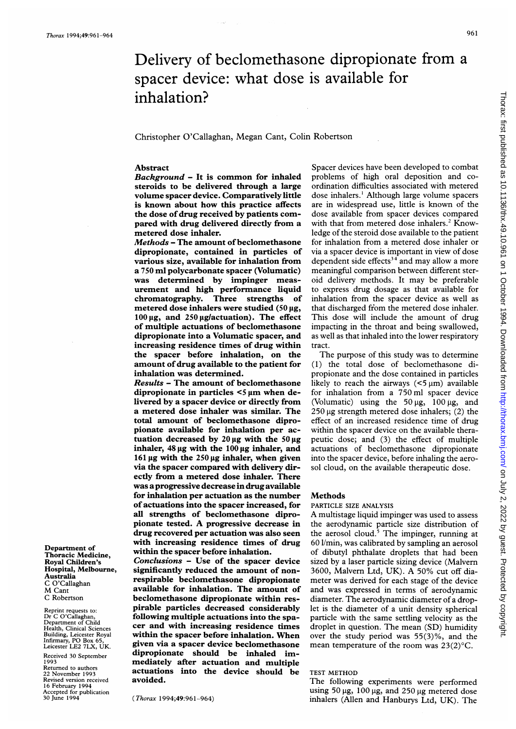Department of Thoracic Medicine, Royal Children's Hospital, Melbourne,

Australia C O'Callaghan M Cant C Robertson Reprint requests to: Dr C O'Callaghan, Department of Child Health, Clinical Sciences Building, Leicester Royal Infirmary, PO Box 65, Leicester LE2 7LX, UK. Received 30 September

1993

Returned to authors 22 November 1993 Revised version received 16 February 1994 Accepted for publication 30 June 1994

# Delivery of beclomethasone dipropionate from a spacer device: what dose is available for inhalation?

Christopher O'Callaghan, Megan Cant, Colin Robertson

## Abstract

Background - It is common for inhaled steroids to be delivered through a large volume spacer device. Comparatively little is known about how this practice affects the dose of drug received by patients compared with drug delivered directly from a metered dose inhaler.

Methods - The amount of beclomethasone dipropionate, contained in particles of various size, available for inhalation from a 750 ml polycarbonate spacer (Volumatic) was determined by impinger measurement and high performance liquid chromatography. Three strengths of metered dose inhalers were studied  $(50 \,\mu g,$  $100 \,\mu$ g, and  $250 \,\mu$ g/actuation). The effect of multiple actuations of beclomethasone dipropionate into a Volumatic spacer, and increasing residence times of drug within the spacer before inhalation, on the amount of drug available to the patient for inhalation was determined.

Results - The amount of beclomethasone dipropionate in particles  $\leq$   $\mu$ m when delivered by a spacer device or directly from a metered dose inhaler was similar. The total amount of beclomethasone dipropionate available for inhalation per actuation decreased by  $20 \mu g$  with the  $50 \mu g$ inhaler,  $48 \mu g$  with the  $100 \mu g$  inhaler, and 161  $\mu$ g with the 250  $\mu$ g inhaler, when given via the spacer compared with delivery directly from a metered dose inhaler. There was a progressive decrease in drug available for inhalation per actuation as the number of actuations into the spacer increased, for all strengths of beclomethasone dipropionate tested. A progressive decrease in drug recovered per actuation was also seen with increasing residence times of drug within the spacer before inhalation.

Conclusions - Use of the spacer device significantly reduced the amount of nonrespirable beclomethasone dipropionate available for inhalation. The amount of beclomethasone dipropionate within respirable particles decreased considerably following multiple actuations into the spacer and with increasing residence times within the spacer before inhalation. When given via a spacer device beclomethasone dipropionate should be inhaled immediately after actuation and multiple actuations into the device should be avoided.

(Thorax 1994;49:961-964)

Spacer devices have been developed to combat problems of high oral deposition and coordination difficulties associated with metered dose inhalers.' Although large volume spacers are in widespread use, little is known of the dose available from spacer devices compared with that from metered dose inhalers.<sup>2</sup> Knowledge of the steroid dose available to the patient for inhalation from a metered dose inhaler or via a spacer device is important in view of dose dependent side effects<sup>34</sup> and may allow a more meaningful comparison between different steroid delivery methods. It may be preferable to express drug dosage as that available for inhalation from the spacer device as well as that discharged from the metered dose inhaler. This dose will include the amount of drug impacting in the throat and being swallowed, as well as that inhaled into the lower respiratory tract.

The purpose of this study was to determine (1) the total dose of beclomethasone dipropionate and the dose contained in particles likely to reach the airways  $(5 \mu m)$  available for inhalation from a 750 ml spacer device (Volumatic) using the  $50 \mu g$ ,  $100 \mu g$ , and  $250 \mu$ g strength metered dose inhalers; (2) the effect of an increased residence time of drug within the spacer device on the available therapeutic dose; and (3) the effect of multiple actuations of beclomethasone dipropionate into the spacer device, before inhaling the aerosol cloud, on the available therapeutic dose.

#### Methods

#### PARTICLE SIZE ANALYSIS

A multistage liquid impinger was used to assess the aerodynamic particle size distribution of the aerosol cloud. $5$  The impinger, running at 60 1/min, was calibrated by sampling an aerosol of dibutyl phthalate droplets that had been sized by a laser particle sizing device (Malvem 3600, Malvern Ltd, UK). A 50% cut off diameter was derived for each stage of the device and was expressed in terms of aerodynamic diameter. The aerodynamic diameter of a droplet is the diameter of a unit density spherical particle with the same settling velocity as the droplet in question. The mean (SD) humidity over the study period was 55(3)%, and the mean temperature of the room was 23(2)°C.

#### TEST METHOD

The following experiments were performed using 50  $\mu$ g, 100  $\mu$ g, and 250  $\mu$ g metered dose inhalers (Allen and Hanburys Ltd, UK). The

Thorax: first published as 10.1136/thx.49.10.961 on 1 October 1994. Downloaded from http://thorax.bmj.com/ on July 2, 2022 by guest. Protected by copyright on July 2, 2022 by guest. Protected by copyright. <http://thorax.bmj.com/> Thorax: first published as 10.1136/thx.49.10.961 on 1 October 1994. Downloaded from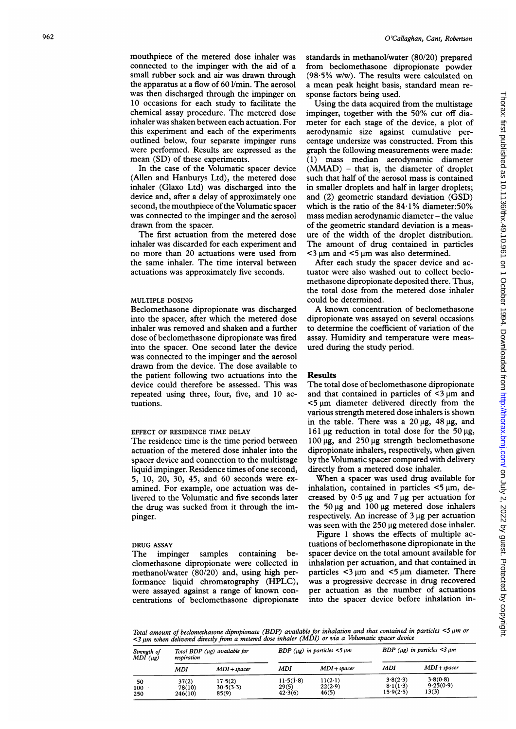mouthpiece of the metered dose inhaler was connected to the impinger with the aid of a small rubber sock and air was drawn through the apparatus at a flow of 60 1/min. The aerosol was then discharged through the impinger on 10 occasions for each study to facilitate the chemical assay procedure. The metered dose inhaler was shaken between each actuation. For this experiment and each of the experiments outlined below, four separate impinger runs were performed. Results are expressed as the mean (SD) of these experiments.

In the case of the Volumatic spacer device (Allen and Hanburys Ltd), the metered dose inhaler (Glaxo Ltd) was discharged into the device and, after a delay of approximately one second, the mouthpiece of the Volumatic spacer was connected to the impinger and the aerosol drawn from the spacer.

The first actuation from the metered dose inhaler was discarded for each experiment and no more than 20 actuations were used from the same inhaler. The time interval between actuations was approximately five seconds.

### MULTIPLE DOSING

Beclomethasone dipropionate was discharged into the spacer, after which the metered dose inhaler was removed and shaken and a further dose of beclomethasone dipropionate was fired into the spacer. One second later the device was connected to the impinger and the aerosol drawn from the device. The dose available to the patient following two actuations into the device could therefore be assessed. This was repeated using three, four, five, and 10 actuations.

### EFFECT OF RESIDENCE TIME DELAY

The residence time is the time period between actuation of the metered dose inhaler into the spacer device and connection to the multistage liquid impinger. Residence times of one second, 5, 10, 20, 30, 45, and 60 seconds were examined. For example, one actuation was delivered to the Volumatic and five seconds later the drug was sucked from it through the impinger.

#### DRUG ASSAY

The impinger samples containing beclomethasone dipropionate were collected in methanol/water (80/20) and, using high performance liquid chromatography (HPLC), were assayed against <sup>a</sup> range of known concentrations of beclomethasone dipropionate standards in methanol/water (80/20) prepared from beclomethasone dipropionate powder  $(98.5\% \text{ w/w})$ . The results were calculated on a mean peak height basis, standard mean response factors being used.

Using the data acquired from the multistage impinger, together with the 50% cut off diameter for each stage of the device, a plot of aerodynamic size against cumulative percentage undersize was constructed. From this graph the following measurements were made: (1) mass median aerodynamic diameter (MMAD) - that is, the diameter of droplet such that half of the aerosol mass is contained in smaller droplets and half in larger droplets; and (2) geometric standard deviation (GSD) which is the ratio of the  $84.1\%$  diameter:50% mass median aerodynamic diameter - the value of the geometric standard deviation is a measure of the width of the droplet distribution. The amount of drug contained in particles  $<$ 3 µm and  $<$ 5 µm was also determined.

After each study the spacer device and actuator were also washed out to collect beclomethasone dipropionate deposited there. Thus, the total dose from the metered dose inhaler could be determined.

A known concentration of beclomethasone dipropionate was assayed on several occasions to determine the coefficient of variation of the assay. Humidity and temperature were measured during the study period.

#### Results

The total dose of beclomethasone dipropionate and that contained in particles of  $\leq$ 3  $\mu$ m and  $<$ 5  $\mu$ m diameter delivered directly from the various strength metered dose inhalers is shown in the table. There was a  $20 \mu g$ ,  $48 \mu g$ , and 161  $\mu$ g reduction in total dose for the 50  $\mu$ g,  $100 \mu$ g, and  $250 \mu$ g strength beclomethasone dipropionate inhalers, respectively, when given by the Volumatic spacer compared with delivery directly from a metered dose inhaler.

When a spacer was used drug available for inhalation, contained in particles  $\lt$ 5  $\mu$ m, decreased by  $0.5 \mu g$  and 7  $\mu g$  per actuation for the  $50 \mu g$  and  $100 \mu g$  metered dose inhalers respectively. An increase of  $3 \mu$ g per actuation was seen with the 250 µg metered dose inhaler.

Figure <sup>1</sup> shows the effects of multiple actuations of beclomethasone dipropionate in the spacer device on the total amount available for inhalation per actuation, and that contained in particles  $\lt3 \mu m$  and  $\lt5 \mu m$  diameter. There was a progressive decrease in drug recovered per actuation as the number of actuations into the spacer device before inhalation in-

Total amount of beclomethasone dipropionate (BDP) available for inhalation and that contained in particles <5 pm or  $<$ 3  $\mu$ m when delivered directly from a metered dose inhaler (MDI) or via a Volumatic spacer device

| Strength of<br>MDI (µg) | Total BDP (µg) available for<br>respiration |                               | BDP ( $\mu$ g) in particles $\leq$ 5 $\mu$ m |                               | BDP ( $\mu$ g) in particles <3 $\mu$ m |                                |
|-------------------------|---------------------------------------------|-------------------------------|----------------------------------------------|-------------------------------|----------------------------------------|--------------------------------|
|                         | MDI                                         | $MDI + space$                 | MDI                                          | $MDI + space$                 | MDI                                    | $MDI + spacer$                 |
| 50<br>100<br>250        | 37(2)<br>78(10)<br>246(10)                  | 17.5(2)<br>30.5(3.3)<br>85(9) | 11.5(1.8)<br>29(5)<br>42.3(6)                | $11(2-1)$<br>22(2.9)<br>46(5) | 3.8(2.3)<br>8.1(1.3)<br>15.9(2.5)      | 3.8(0.8)<br>9.25(0.9)<br>13(3) |

 on July 2, 2022 by guest. Protected by copyright. <http://thorax.bmj.com/> Thorax: first published as 10.1136/thx.49.10.961 on 1 October 1994. Downloaded from Thorax: first published as 10.1136/thx.49.10.961 on 1 October 1994. Downloaded from http://thorax.bmj.com/ on July 2, 2022 by guest. Protected by copyright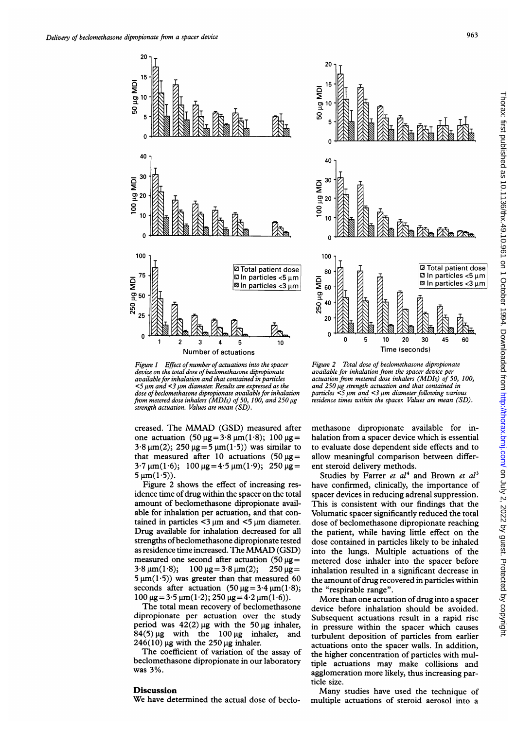



Figure 1 Effect of number of actuations into the spacer device on the total dose of beclomethasone dipropionate available for inhalation and that contained in particles  $<$ 5  $\mu$ m and  $<$ 3  $\mu$ m diameter. Results are expressed as the dose of beclomethasone dipropionate available for inhalation from metered dose inhalers ( $MDIs$ ) of 50, 100, and 250  $\mu$ g strength actuation. Values are mean (SD).

creased. The MMAD (GSD) measured after one actuation  $(50 \,\mu g = 3.8 \,\mu m(1.8))$ ; 100  $\mu g =$  $3.8 \mu m(2)$ ;  $250 \mu g = 5 \mu m(1.5)$  was similar to that measured after 10 actuations  $(50 \,\mu\text{g} =$  $3.7 \,\mu m(1.6)$ ; 100  $\mu$ g =  $4.5 \,\mu m(1.9)$ ; 250  $\mu$ g =  $5 \mu m(1.5)$ .

Figure 2 shows the effect of increasing residence time of drug within the spacer on the total amount of beclomethasone dipropionate available for inhalation per actuation, and that contained in particles  $\leq$ 3  $\mu$ m and  $\leq$ 5  $\mu$ m diameter. Drug available for inhalation decreased for all strengths of beclomethasone dipropionate tested as residence time increased. The MMAD (GSD) measured one second after actuation  $(50 \mu g =$  $3.8 \,\mu\text{m}(1.8);$  100  $\mu\text{g}=3.8 \,\mu\text{m}(2);$  250  $\mu\text{g}=$  $5 \mu m(1.5)$ ) was greater than that measured 60 seconds after actuation  $(50 \text{ µg} = 3.4 \text{ µm}(1.8))$ ;  $100 \,\mu$ g = 3.5  $\mu$ m(1.2); 250  $\mu$ g = 4.2  $\mu$ m(1.6)).

The total mean recovery of beclomethasone dipropionate per actuation over the study period was  $42(2)$  µg with the 50 µg inhaler,  $84(5)$  µg with the 100 µg inhaler, and  $246(10)$  µg with the 250 µg inhaler.

The coefficient of variation of the assay of beclomethasone dipropionate in our laboratory was 3%.

### **Discussion**

We have determined the actual dose of beclo-

Figure 2 Total dose of beclomethasone dipropionate available for inhalation from the spacer device per actuation from metered dose inhalers (MDIs) of 50, 100, and 250 µg strength actuation and that contained in particles  $\leq$ 5  $\mu$ m and  $\leq$ 3  $\mu$ m diameter following various residence times within the spacer. Values are mean (SD).

methasone dipropionate available for inhalation from a spacer device which is essential to evaluate dose dependent side effects and to allow meaningful comparison between different steroid delivery methods.

Studies by Farrer et  $al<sup>4</sup>$  and Brown et  $al<sup>3</sup>$ have confirmed, clinically, the importance of spacer devices in reducing adrenal suppression. This is consistent with our findings that the Volumatic spacer significantly reduced the total dose of beclomethasone dipropionate reaching the patient, while having little effect on the dose contained in particles likely to be inhaled into the lungs. Multiple actuations of the metered dose inhaler into the spacer before inhalation resulted in a significant decrease in the amount of drug recovered in particles within the "respirable range".

More than one actuation of drug into a spacer device before inhalation should be avoided. Subsequent actuations result in a rapid rise in pressure within the spacer which causes turbulent deposition of particles from earlier actuations onto the spacer walls. In addition, the higher concentration of particles with multiple actuations may make collisions and agglomeration more likely, thus increasing particle size.

Many studies have used the technique of multiple actuations of steroid aerosol into a